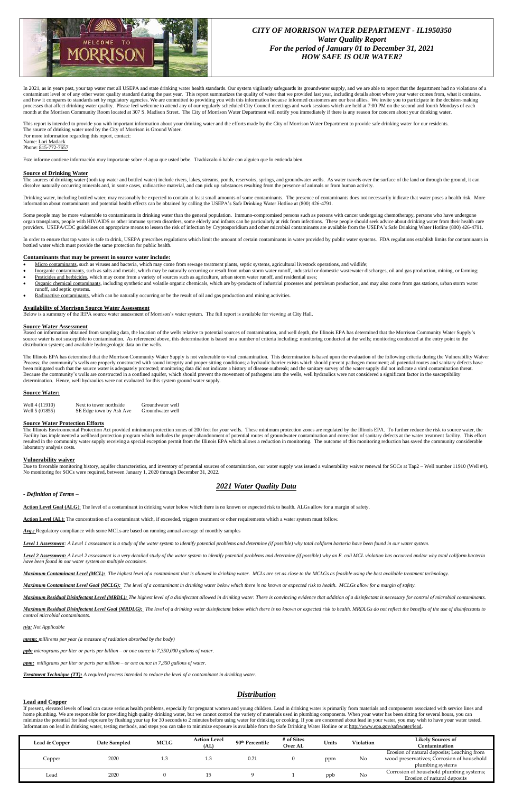

# *CITY OF MORRISON WATER DEPARTMENT - IL1950350 Water Quality Report For the period of January 01 to December 31, 2021 HOW SAFE IS OUR WATER?*

In 2021, as in years past, your tap water met all USEPA and state drinking water health standards. Our system vigilantly safeguards its groundwater supply, and we are able to report that the department had no violations of a contaminant level or of any other water quality standard during the past year. This report summarizes the quality of water that we provided last year, including details about where your water comes from, what it contains, and how it compares to standards set by regulatory agencies. We are committed to providing you with this information because informed customers are our best allies. We invite you to participate in the decision-making processes that affect drinking water quality. Please feel welcome to attend any of our regularly scheduled City Council meetings and work sessions which are held at 7:00 PM on the second and fourth Mondays of each month at the Morrison Community Room located at 307 S. Madison Street. The City of Morrison Water Department will notify you immediately if there is any reason for concern about your drinking water.

The sources of drinking water (both tap water and bottled water) include rivers, lakes, streams, ponds, reservoirs, springs, and groundwater wells. As water travels over the surface of the land or through the ground, it ca dissolve naturally occurring minerals and, in some cases, radioactive material, and can pick up substances resulting from the presence of animals or from human activity.

Some people may be more vulnerable to contaminants in drinking water than the general population. Immuno-compromised persons such as persons with cancer undergoing chemotherapy, persons who have undergone organ transplants, people with HIV/AIDS or other immune system disorders, some elderly and infants can be particularly at risk from infections. These people should seek advice about drinking water from their health care providers. USEPA/CDC guidelines on appropriate means to lessen the risk of infection by Cryptosporidium and other microbial contaminants are available from the USEPA's Safe Drinking Water Hotline (800) 426-4791.

This report is intended to provide you with important information about your drinking water and the efforts made by the City of Morrison Water Department to provide safe drinking water for our residents. The source of drinking water used by the City of Morrison is Ground Water. For more information regarding this report, contact:

Name: Lori Matlack

Phone: 815-772-7657

Este informe contiene información muy importante sobre el agua que usted bebe. Tradúzcalo ó hable con alguien que lo entienda bien.

In order to ensure that tap water is safe to drink, USEPA prescribes regulations which limit the amount of certain contaminants in water provided by public water systems. FDA regulations establish limits for contaminants i bottled water which must provide the same protection for public health.

### **Source of Drinking Water**

- Micro contaminants, such as viruses and bacteria, which may come from sewage treatment plants, septic systems, agricultural livestock operations, and wildlife;
- Inorganic contaminants, such as salts and metals, which may be naturally occurring or result from urban storm water runoff, industrial or domestic wastewater discharges, oil and gas production, mining, or farming; Pesticides and herbicides, which may come from a variety of sources such as agriculture, urban storm water runoff, and residential uses;
- Organic chemical contaminants, including synthetic and volatile organic chemicals, which are by-products of industrial processes and petroleum production, and may also come from gas stations, urban storm water runoff, and septic systems.
- Radioactive contaminants, which can be naturally occurring or be the result of oil and gas production and mining activities.

Drinking water, including bottled water, may reasonably be expected to contain at least small amounts of some contaminants. The presence of contaminants does not necessarily indicate that water poses a health risk. More information about contaminants and potential health effects can be obtained by calling the USEPA's Safe Drinking Water Hotline at (800) 426-4791.

The Illinois Environmental Protection Act provided minimum protection zones of 200 feet for your wells. These minimum protection zones are regulated by the Illinois EPA. To further reduce the risk to source water, the Facility has implemented a wellhead protection program which includes the proper abandonment of potential routes of groundwater contamination and correction of sanitary defects at the water treatment facility. This effort resulted in the community water supply receiving a special exception permit from the Illinois EPA which allows a reduction in monitoring. The outcome of this monitoring reduction has saved the community considerable laboratory analysis costs.

### **Contaminants that may be present in source water include:**

Due to favorable monitoring history, aquifer characteristics, and inventory of potential sources of contamination, our water supply was issued a vulnerability waiver renewal for SOCs at Tap2 - Well number 11910 (Well #4). No monitoring for SOCs were required, between January 1, 2020 through December 31, 2022.

Level 2 Assessment: A Level 2 assessment is a very detailed study of the water system to identify potential problems and determine (if possible) why an E. coli MCL violation has occurred and/or why total coliform bacteria *have been found in our water system on multiple occasions.*

### **Availability of Morrison Source Water Assessment**

Below is a summary of the IEPA source water assessment of Morrison's water system. The full report is available for viewing at City Hall.

Maximum Residual Disinfectant Level Goal (MRDLG): The level of a drinking water disinfectant below which there is no known or expected risk to health. MRDLGs do not reflect the benefits of the use of disinfectants to *control microbial contaminants.*

### **Source Water Assessment**

If present, elevated levels of lead can cause serious health problems, especially for pregnant women and young children. Lead in drinking water is primarily from materials and components associated with service lines and home plumbing. We are responsible for providing high quality drinking water, but we cannot control the variety of materials used in plumbing components. When your water has been sitting for several hours, you can minimize the potential for lead exposure by flushing your tap for 30 seconds to 2 minutes before using water for drinking or cooking. If you are concerned about lead in your water, you may wish to have your water tested. Information on lead in drinking water, testing methods, and steps you can take to minimize exposure is available from the Safe Drinking Water Hotline or a[t http://www.epa.gov/safewater/lead.](http://www.epa.gov/safewater/lead)

Based on information obtained from sampling data, the location of the wells relative to potential sources of contamination, and well depth, the Illinois EPA has determined that the Morrison Community Water Supply's source water is not susceptible to contamination. As referenced above, this determination is based on a number of criteria including; monitoring conducted at the wells; monitoring conducted at the entry point to the distribution system; and available hydrogeologic data on the wells.

The Illinois EPA has determined that the Morrison Community Water Supply is not vulnerable to viral contamination. This determination is based upon the evaluation of the following criteria during the Vulnerability Waiver Process; the community's wells are properly constructed with sound integrity and proper sitting conditions; a hydraulic barrier exists which should prevent pathogen movement; all potential routes and sanitary defects have been mitigated such that the source water is adequately protected; monitoring data did not indicate a history of disease outbreak; and the sanitary survey of the water supply did not indicate a viral contamination threat. Because the community's wells are constructed in a confined aquifer, which should prevent the movement of pathogens into the wells, well hydraulics were not considered a significant factor in the susceptibility determination. Hence, well hydraulics were not evaluated for this system ground water supply.

### **Source Water:**

| Well 4 (11910) | Next to tower northside | Groundwater well |
|----------------|-------------------------|------------------|
| Well 5 (01855) | SE Edge town by Ash Ave | Groundwater well |

### **Source Water Protection Efforts**

### **Vulnerability waiver**

# *2021 Water Quality Data*

### *- Definition of Terms –*

Action Level Goal (ALG): The level of a contaminant in drinking water below which there is no known or expected risk to health. ALGs allow for a margin of safety.

**Action Level (AL)**: The concentration of a contaminant which, if exceeded, triggers treatment or other requirements which a water system must follow.

Avg.: Regulatory compliance with some MCLs are based on running annual average of monthly samples

*Level 1 Assessment: A Level 1 assessment is a study of the water system to identify potential problems and determine (if possible) why total coliform bacteria have been found in our water system.*

*Maximum Contaminant Level (MCL): The highest level of a contaminant that is allowed in drinking water. MCLs are set as close to the MCLGs as feasible using the best available treatment technology.*

*Maximum Contaminant Level Goal (MCLG): The level of a contaminant in drinking water below which there is no known or expected risk to health. MCLGs allow for a margin of safety.*

Maximum Residual Disinfectant Level (MRDL): The highest level of a disinfectant allowed in drinking water. There is convincing evidence that addition of a disinfectant is necessary for control of microbial contaminants.

*n/a: Not Applicable*

*mrem: millirems per year (a measure of radiation absorbed by the body)*

*ppb: micrograms per liter or parts per billion – or one ounce in 7,350,000 gallons of water.*

*ppm: milligrams per liter or parts per million – or one ounce in 7,350 gallons of water.*

*Treatment Technique (TT): A required process intended to reduce the level of a contaminant in drinking water.*

# *Distribution*

# **Lead and Copper**

| Lead & Copper  | Date Sampled | <b>MCLG</b> | <b>Action Level</b> | 90th Percentile | # of Sites     |     | Units<br>Violation | <b>Likely Sources of</b>                   |
|----------------|--------------|-------------|---------------------|-----------------|----------------|-----|--------------------|--------------------------------------------|
|                |              |             | (AL)                |                 | <b>Over AL</b> |     |                    | Contamination                              |
| 2020<br>Copper |              |             |                     | $0.2^{2}$       |                | ppm | No                 | Erosion of natural deposits; Leaching from |
|                |              |             |                     |                 |                |     |                    | wood preservatives; Corrosion of household |
|                |              |             |                     |                 |                |     |                    | plumbing systems                           |
| 2020<br>Lead   |              |             |                     |                 |                | ppb | No                 | Corrosion of household plumbing systems;   |
|                |              |             |                     |                 |                |     |                    | Erosion of natural deposits                |